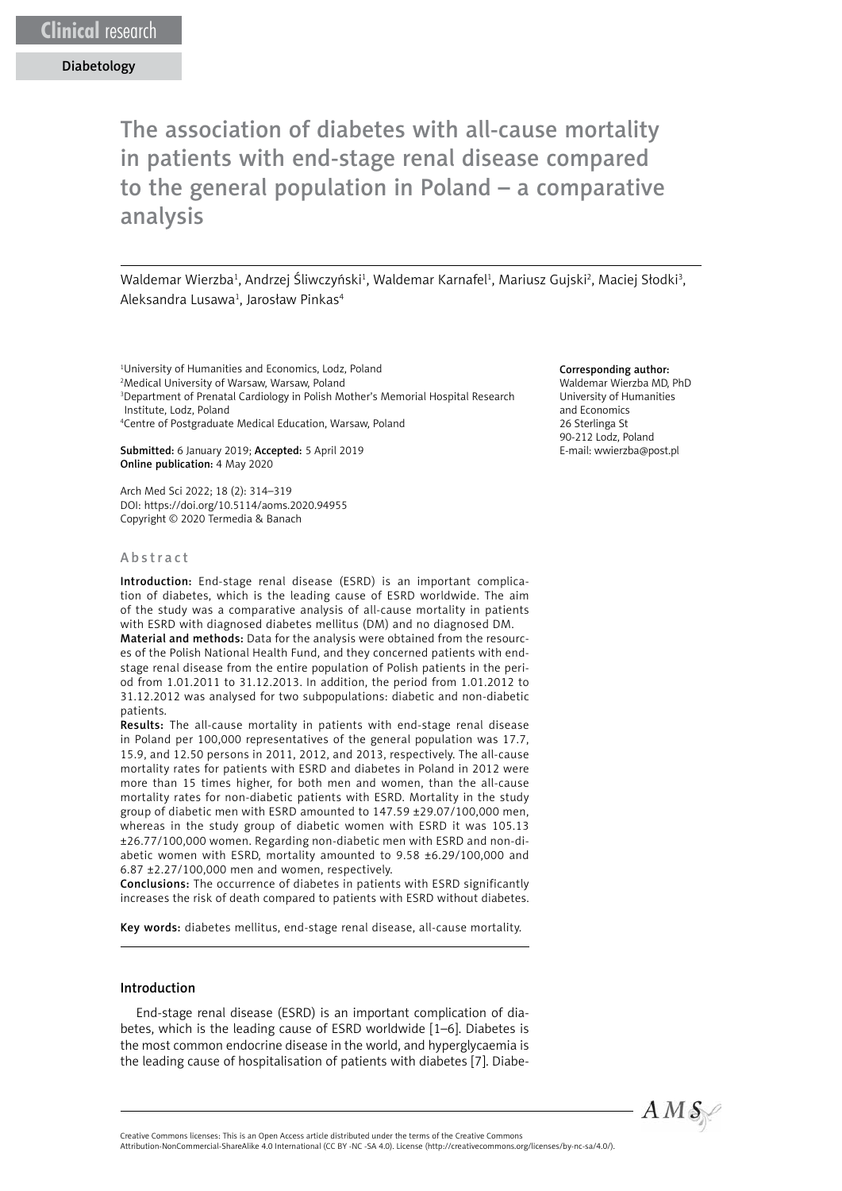The association of diabetes with all-cause mortality in patients with end-stage renal disease compared to the general population in Poland – a comparative analysis

Waldemar Wierzba<sup>1</sup>, Andrzej Śliwczyński<sup>1</sup>, Waldemar Karnafel<sup>1</sup>, Mariusz Gujski<sup>2</sup>, Maciej Słodki<sup>3</sup>, Aleksandra Lusawa<sup>1</sup>, Jarosław Pinkas<sup>4</sup>

<sup>1</sup>University of Humanities and Economics, Lodz, Poland 2 Medical University of Warsaw, Warsaw, Poland 3 Department of Prenatal Cardiology in Polish Mother's Memorial Hospital Research Institute, Lodz, Poland 4 Centre of Postgraduate Medical Education, Warsaw, Poland

Submitted: 6 January 2019; Accepted: 5 April 2019 Online publication: 4 May 2020

Arch Med Sci 2022; 18 (2): 314–319 DOI: https://doi.org/10.5114/aoms.2020.94955 Copyright © 2020 Termedia & Banach

#### Abstract

Introduction: End-stage renal disease (ESRD) is an important complication of diabetes, which is the leading cause of ESRD worldwide. The aim of the study was a comparative analysis of all-cause mortality in patients with ESRD with diagnosed diabetes mellitus (DM) and no diagnosed DM.

Material and methods: Data for the analysis were obtained from the resources of the Polish National Health Fund, and they concerned patients with endstage renal disease from the entire population of Polish patients in the period from 1.01.2011 to 31.12.2013. In addition, the period from 1.01.2012 to 31.12.2012 was analysed for two subpopulations: diabetic and non-diabetic patients.

Results: The all-cause mortality in patients with end-stage renal disease in Poland per 100,000 representatives of the general population was 17.7, 15.9, and 12.50 persons in 2011, 2012, and 2013, respectively. The all-cause mortality rates for patients with ESRD and diabetes in Poland in 2012 were more than 15 times higher, for both men and women, than the all-cause mortality rates for non-diabetic patients with ESRD. Mortality in the study group of diabetic men with ESRD amounted to 147.59 ±29.07/100,000 men, whereas in the study group of diabetic women with ESRD it was 105.13 ±26.77/100,000 women. Regarding non-diabetic men with ESRD and non-diabetic women with ESRD, mortality amounted to 9.58 ±6.29/100,000 and 6.87 ±2.27/100,000 men and women, respectively.

Conclusions: The occurrence of diabetes in patients with ESRD significantly increases the risk of death compared to patients with ESRD without diabetes.

Key words: diabetes mellitus, end-stage renal disease, all-cause mortality.

### Introduction

End-stage renal disease (ESRD) is an important complication of diabetes, which is the leading cause of ESRD worldwide [1–6]. Diabetes is the most common endocrine disease in the world, and hyperglycaemia is the leading cause of hospitalisation of patients with diabetes [7]. Diabe-

#### Corresponding author:

Waldemar Wierzba MD, PhD University of Humanities and Economics 26 Sterlinga St 90-212 Lodz, Poland E-mail: wwierzba@post.pl



Attribution-NonCommercial-ShareAlike 4.0 International (CC BY -NC -SA 4.0). License (http://creativecommons.org/licenses/by-nc-sa/4.0/).

Creative Commons licenses: This is an Open Access article distributed under the terms of the Creative Commons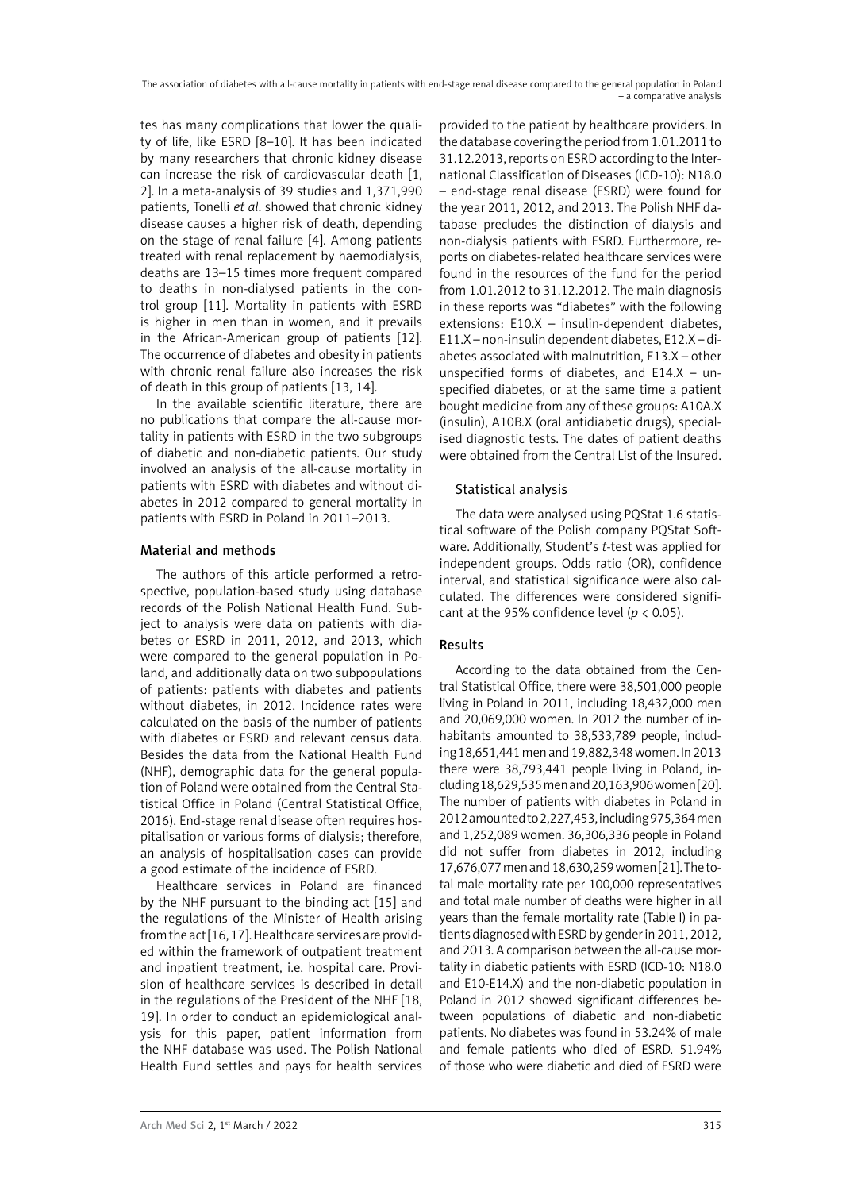The association of diabetes with all-cause mortality in patients with end-stage renal disease compared to the general population in Poland – a comparative analysis

tes has many complications that lower the quality of life, like ESRD [8–10]. It has been indicated by many researchers that chronic kidney disease can increase the risk of cardiovascular death [1, 2]. In a meta-analysis of 39 studies and 1,371,990 patients, Tonelli *et al*. showed that chronic kidney disease causes a higher risk of death, depending on the stage of renal failure [4]. Among patients treated with renal replacement by haemodialysis, deaths are 13–15 times more frequent compared to deaths in non-dialysed patients in the control group [11]. Mortality in patients with ESRD is higher in men than in women, and it prevails in the African-American group of patients [12]. The occurrence of diabetes and obesity in patients with chronic renal failure also increases the risk of death in this group of patients [13, 14].

In the available scientific literature, there are no publications that compare the all-cause mortality in patients with ESRD in the two subgroups of diabetic and non-diabetic patients. Our study involved an analysis of the all-cause mortality in patients with ESRD with diabetes and without diabetes in 2012 compared to general mortality in patients with ESRD in Poland in 2011–2013.

## Material and methods

The authors of this article performed a retrospective, population-based study using database records of the Polish National Health Fund. Subject to analysis were data on patients with diabetes or ESRD in 2011, 2012, and 2013, which were compared to the general population in Poland, and additionally data on two subpopulations of patients: patients with diabetes and patients without diabetes, in 2012. Incidence rates were calculated on the basis of the number of patients with diabetes or ESRD and relevant census data. Besides the data from the National Health Fund (NHF), demographic data for the general population of Poland were obtained from the Central Statistical Office in Poland (Central Statistical Office, 2016). End-stage renal disease often requires hospitalisation or various forms of dialysis; therefore, an analysis of hospitalisation cases can provide a good estimate of the incidence of ESRD.

Healthcare services in Poland are financed by the NHF pursuant to the binding act [15] and the regulations of the Minister of Health arising from the act [16, 17]. Healthcare services are provided within the framework of outpatient treatment and inpatient treatment, i.e. hospital care. Provision of healthcare services is described in detail in the regulations of the President of the NHF [18, 19]. In order to conduct an epidemiological analysis for this paper, patient information from the NHF database was used. The Polish National Health Fund settles and pays for health services

provided to the patient by healthcare providers. In the database covering the period from 1.01.2011 to 31.12.2013, reports on ESRD according to the International Classification of Diseases (ICD-10): N18.0 – end-stage renal disease (ESRD) were found for the year 2011, 2012, and 2013. The Polish NHF database precludes the distinction of dialysis and non-dialysis patients with ESRD. Furthermore, reports on diabetes-related healthcare services were found in the resources of the fund for the period from 1.01.2012 to 31.12.2012. The main diagnosis in these reports was "diabetes" with the following extensions: E10.X – insulin-dependent diabetes, E11.X – non-insulin dependent diabetes, E12.X – diabetes associated with malnutrition, E13.X – other unspecified forms of diabetes, and  $E14.X - un$ specified diabetes, or at the same time a patient bought medicine from any of these groups: A10A.X (insulin), A10B.X (oral antidiabetic drugs), specialised diagnostic tests. The dates of patient deaths were obtained from the Central List of the Insured.

## Statistical analysis

The data were analysed using PQStat 1.6 statistical software of the Polish company PQStat Software. Additionally, Student's *t*-test was applied for independent groups. Odds ratio (OR), confidence interval, and statistical significance were also calculated. The differences were considered significant at the 95% confidence level (*p* < 0.05).

### Results

According to the data obtained from the Central Statistical Office, there were 38,501,000 people living in Poland in 2011, including 18,432,000 men and 20,069,000 women. In 2012 the number of inhabitants amounted to 38,533,789 people, including 18,651,441 men and 19,882,348 women. In 2013 there were 38,793,441 people living in Poland, including 18,629,535 men and 20,163,906 women [20]. The number of patients with diabetes in Poland in 2012 amounted to 2,227,453, including 975,364 men and 1,252,089 women. 36,306,336 people in Poland did not suffer from diabetes in 2012, including 17,676,077 men and 18,630,259 women [21]. The total male mortality rate per 100,000 representatives and total male number of deaths were higher in all years than the female mortality rate (Table I) in patients diagnosed with ESRD by gender in 2011, 2012, and 2013. A comparison between the all-cause mortality in diabetic patients with ESRD (ICD-10: N18.0 and E10-E14.X) and the non-diabetic population in Poland in 2012 showed significant differences between populations of diabetic and non-diabetic patients. No diabetes was found in 53.24% of male and female patients who died of ESRD. 51.94% of those who were diabetic and died of ESRD were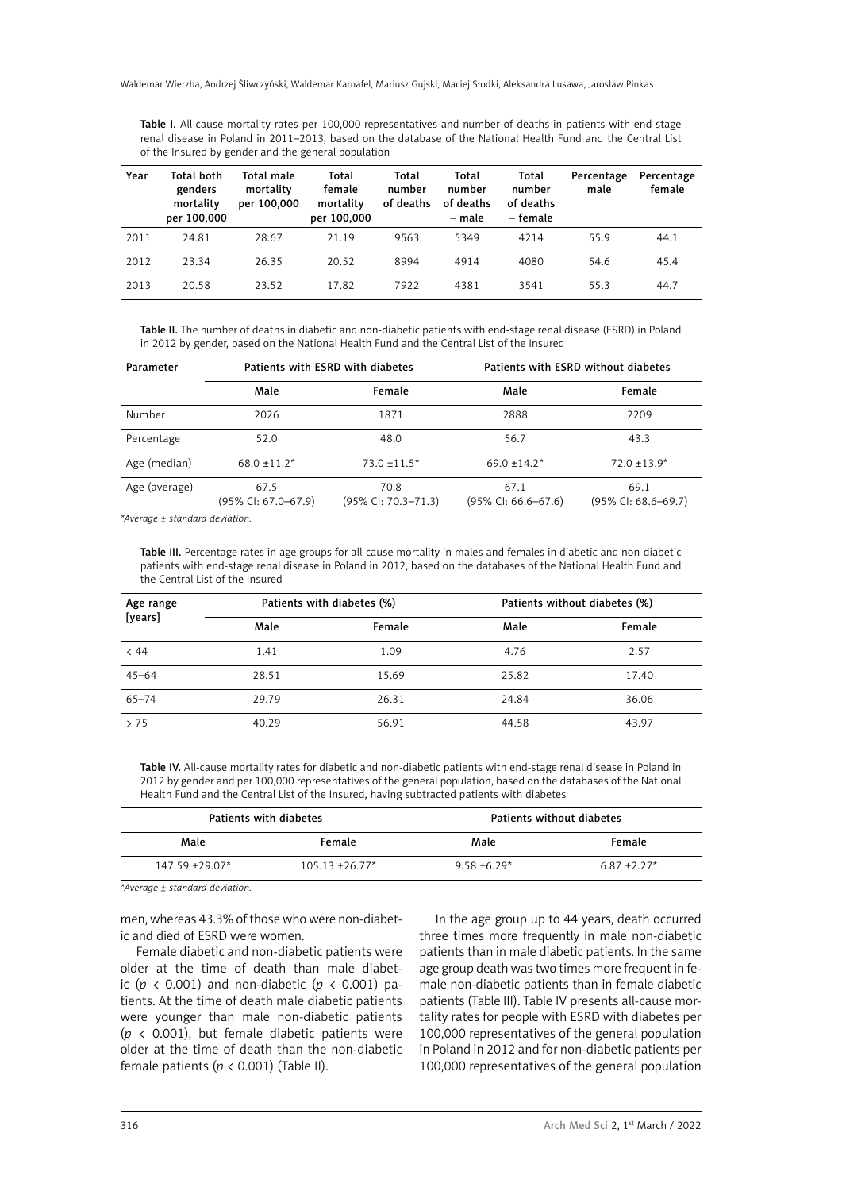Table I. All-cause mortality rates per 100,000 representatives and number of deaths in patients with end-stage renal disease in Poland in 2011–2013, based on the database of the National Health Fund and the Central List of the Insured by gender and the general population

| Year | Total both<br>genders<br>mortality<br>per 100,000 | Total male<br>mortality<br>per 100,000 | Total<br>female<br>mortality<br>per 100,000 | Total<br>number<br>of deaths | Total<br>number<br>of deaths<br>– male | Total<br>number<br>of deaths<br>– female | Percentage<br>male | Percentage<br>female |
|------|---------------------------------------------------|----------------------------------------|---------------------------------------------|------------------------------|----------------------------------------|------------------------------------------|--------------------|----------------------|
| 2011 | 24.81                                             | 28.67                                  | 21.19                                       | 9563                         | 5349                                   | 4214                                     | 55.9               | 44.1                 |
| 2012 | 23.34                                             | 26.35                                  | 20.52                                       | 8994                         | 4914                                   | 4080                                     | 54.6               | 45.4                 |
| 2013 | 20.58                                             | 23.52                                  | 17.82                                       | 7922                         | 4381                                   | 3541                                     | 55.3               | 44.7                 |

Table II. The number of deaths in diabetic and non-diabetic patients with end-stage renal disease (ESRD) in Poland in 2012 by gender, based on the National Health Fund and the Central List of the Insured

| Parameter     |                                | Patients with ESRD with diabetes | Patients with ESRD without diabetes |                                |  |
|---------------|--------------------------------|----------------------------------|-------------------------------------|--------------------------------|--|
|               | Male                           | Female                           | Male                                | Female                         |  |
| Number        | 2026                           | 1871                             | 2888                                | 2209                           |  |
| Percentage    | 52.0                           | 48.0                             | 56.7                                | 43.3                           |  |
| Age (median)  | $68.0 \pm 11.2$ *              | $73.0 \pm 11.5^*$                | $69.0 \pm 14.2^*$                   | $72.0 \pm 13.9^*$              |  |
| Age (average) | 67.5<br>$(95\%$ CI: 67.0-67.9) | 70.8<br>(95% CI: 70.3-71.3)      | 67.1<br>$(95\%$ CI: 66.6-67.6)      | 69.1<br>$(95\%$ CI: 68.6-69.7) |  |

*\*Average ± standard deviation.*

Table III. Percentage rates in age groups for all-cause mortality in males and females in diabetic and non-diabetic patients with end-stage renal disease in Poland in 2012, based on the databases of the National Health Fund and the Central List of the Insured

| Age range<br>[years] |       | Patients with diabetes (%) | Patients without diabetes (%) |        |  |
|----------------------|-------|----------------------------|-------------------------------|--------|--|
|                      | Male  | Female                     | Male                          | Female |  |
| < 44                 | 1.41  | 1.09                       | 4.76                          | 2.57   |  |
| $45 - 64$            | 28.51 | 15.69                      | 25.82                         | 17.40  |  |
| $65 - 74$            | 29.79 | 26.31                      | 24.84                         | 36.06  |  |
| >75                  | 40.29 | 56.91                      | 44.58                         | 43.97  |  |

Table IV. All-cause mortality rates for diabetic and non-diabetic patients with end-stage renal disease in Poland in 2012 by gender and per 100,000 representatives of the general population, based on the databases of the National Health Fund and the Central List of the Insured, having subtracted patients with diabetes

| Patients with diabetes |                   | Patients without diabetes |                |  |
|------------------------|-------------------|---------------------------|----------------|--|
| Male                   | Female            | Male                      | Female         |  |
| $147.59 + 29.07*$      | $105.13 + 26.77*$ | $9.58 + 6.29*$            | $6.87 + 2.27*$ |  |

*\*Average ± standard deviation.*

men, whereas 43.3% of those who were non-diabetic and died of ESRD were women.

Female diabetic and non-diabetic patients were older at the time of death than male diabetic ( $p \lt 0.001$ ) and non-diabetic ( $p \lt 0.001$ ) patients. At the time of death male diabetic patients were younger than male non-diabetic patients ( $p \lt 0.001$ ), but female diabetic patients were older at the time of death than the non-diabetic female patients ( $p < 0.001$ ) (Table II).

In the age group up to 44 years, death occurred three times more frequently in male non-diabetic patients than in male diabetic patients. In the same age group death was two times more frequent in female non-diabetic patients than in female diabetic patients (Table III). Table IV presents all-cause mortality rates for people with ESRD with diabetes per 100,000 representatives of the general population in Poland in 2012 and for non-diabetic patients per 100,000 representatives of the general population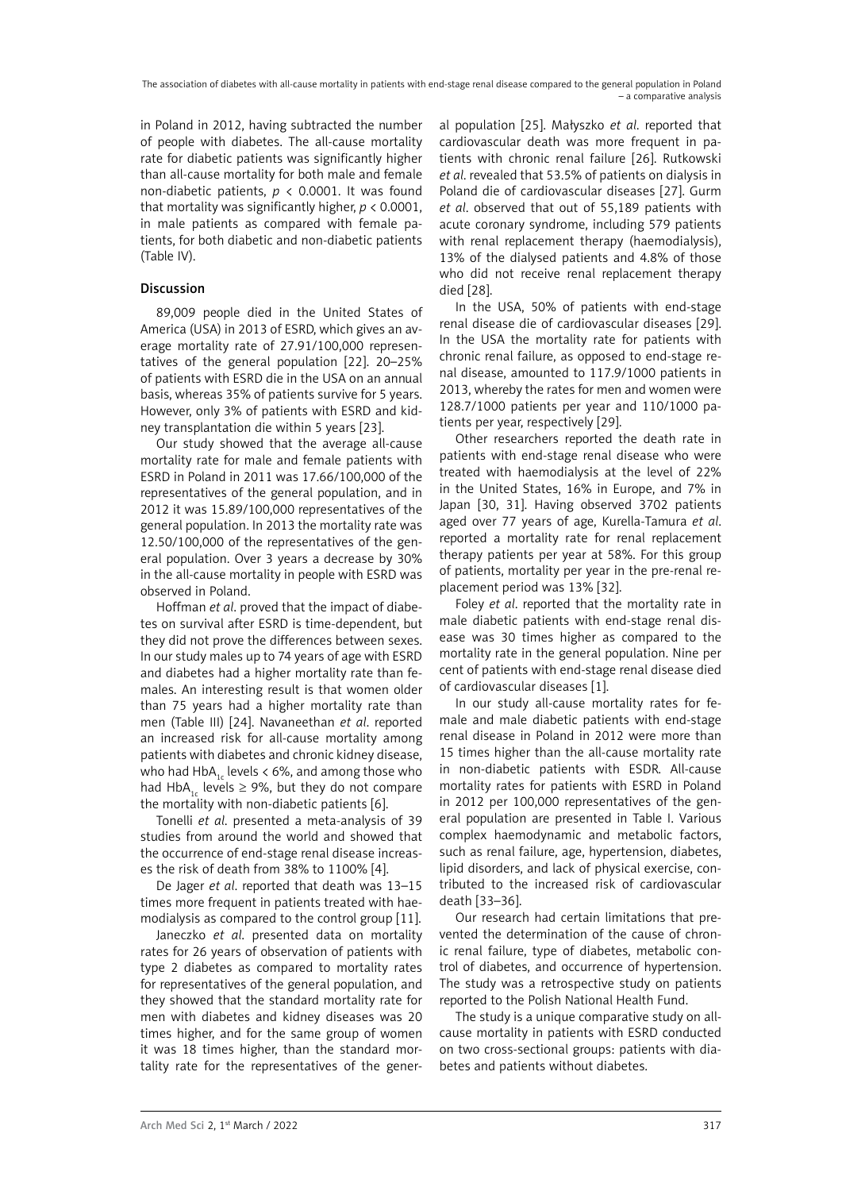in Poland in 2012, having subtracted the number of people with diabetes. The all-cause mortality rate for diabetic patients was significantly higher than all-cause mortality for both male and female non-diabetic patients,  $p \lt 0.0001$ . It was found that mortality was significantly higher, *p* < 0.0001, in male patients as compared with female patients, for both diabetic and non-diabetic patients (Table IV).

# Discussion

89,009 people died in the United States of America (USA) in 2013 of ESRD, which gives an average mortality rate of 27.91/100,000 representatives of the general population [22]. 20–25% of patients with ESRD die in the USA on an annual basis, whereas 35% of patients survive for 5 years. However, only 3% of patients with ESRD and kidney transplantation die within 5 years [23].

Our study showed that the average all-cause mortality rate for male and female patients with ESRD in Poland in 2011 was 17.66/100,000 of the representatives of the general population, and in 2012 it was 15.89/100,000 representatives of the general population. In 2013 the mortality rate was 12.50/100,000 of the representatives of the general population. Over 3 years a decrease by 30% in the all-cause mortality in people with ESRD was observed in Poland.

Hoffman *et al*. proved that the impact of diabetes on survival after ESRD is time-dependent, but they did not prove the differences between sexes. In our study males up to 74 years of age with ESRD and diabetes had a higher mortality rate than females. An interesting result is that women older than 75 years had a higher mortality rate than men (Table III) [24]. Navaneethan *et al*. reported an increased risk for all-cause mortality among patients with diabetes and chronic kidney disease, who had HbA<sub>1c</sub> levels  $< 6\%$ , and among those who had HbA<sub>1s</sub> levels  $\geq$  9%, but they do not compare the mortality with non-diabetic patients [6].

Tonelli *et al*. presented a meta-analysis of 39 studies from around the world and showed that the occurrence of end-stage renal disease increases the risk of death from 38% to 1100% [4].

De Jager *et al*. reported that death was 13–15 times more frequent in patients treated with haemodialysis as compared to the control group [11].

Janeczko *et al*. presented data on mortality rates for 26 years of observation of patients with type 2 diabetes as compared to mortality rates for representatives of the general population, and they showed that the standard mortality rate for men with diabetes and kidney diseases was 20 times higher, and for the same group of women it was 18 times higher, than the standard mortality rate for the representatives of the general population [25]. Małyszko *et al*. reported that cardiovascular death was more frequent in patients with chronic renal failure [26]. Rutkowski *et al*. revealed that 53.5% of patients on dialysis in Poland die of cardiovascular diseases [27]. Gurm *et al*. observed that out of 55,189 patients with acute coronary syndrome, including 579 patients with renal replacement therapy (haemodialysis), 13% of the dialysed patients and 4.8% of those who did not receive renal replacement therapy died [28].

In the USA, 50% of patients with end-stage renal disease die of cardiovascular diseases [29]. In the USA the mortality rate for patients with chronic renal failure, as opposed to end-stage renal disease, amounted to 117.9/1000 patients in 2013, whereby the rates for men and women were 128.7/1000 patients per year and 110/1000 patients per year, respectively [29].

Other researchers reported the death rate in patients with end-stage renal disease who were treated with haemodialysis at the level of 22% in the United States, 16% in Europe, and 7% in Japan [30, 31]. Having observed 3702 patients aged over 77 years of age, Kurella-Tamura *et al*. reported a mortality rate for renal replacement therapy patients per year at 58%. For this group of patients, mortality per year in the pre-renal replacement period was 13% [32].

Foley *et al*. reported that the mortality rate in male diabetic patients with end-stage renal disease was 30 times higher as compared to the mortality rate in the general population. Nine per cent of patients with end-stage renal disease died of cardiovascular diseases [1].

In our study all-cause mortality rates for female and male diabetic patients with end-stage renal disease in Poland in 2012 were more than 15 times higher than the all-cause mortality rate in non-diabetic patients with ESDR. All-cause mortality rates for patients with ESRD in Poland in 2012 per 100,000 representatives of the general population are presented in Table I. Various complex haemodynamic and metabolic factors, such as renal failure, age, hypertension, diabetes, lipid disorders, and lack of physical exercise, contributed to the increased risk of cardiovascular death [33–36].

Our research had certain limitations that prevented the determination of the cause of chronic renal failure, type of diabetes, metabolic control of diabetes, and occurrence of hypertension. The study was a retrospective study on patients reported to the Polish National Health Fund.

The study is a unique comparative study on allcause mortality in patients with ESRD conducted on two cross-sectional groups: patients with diabetes and patients without diabetes.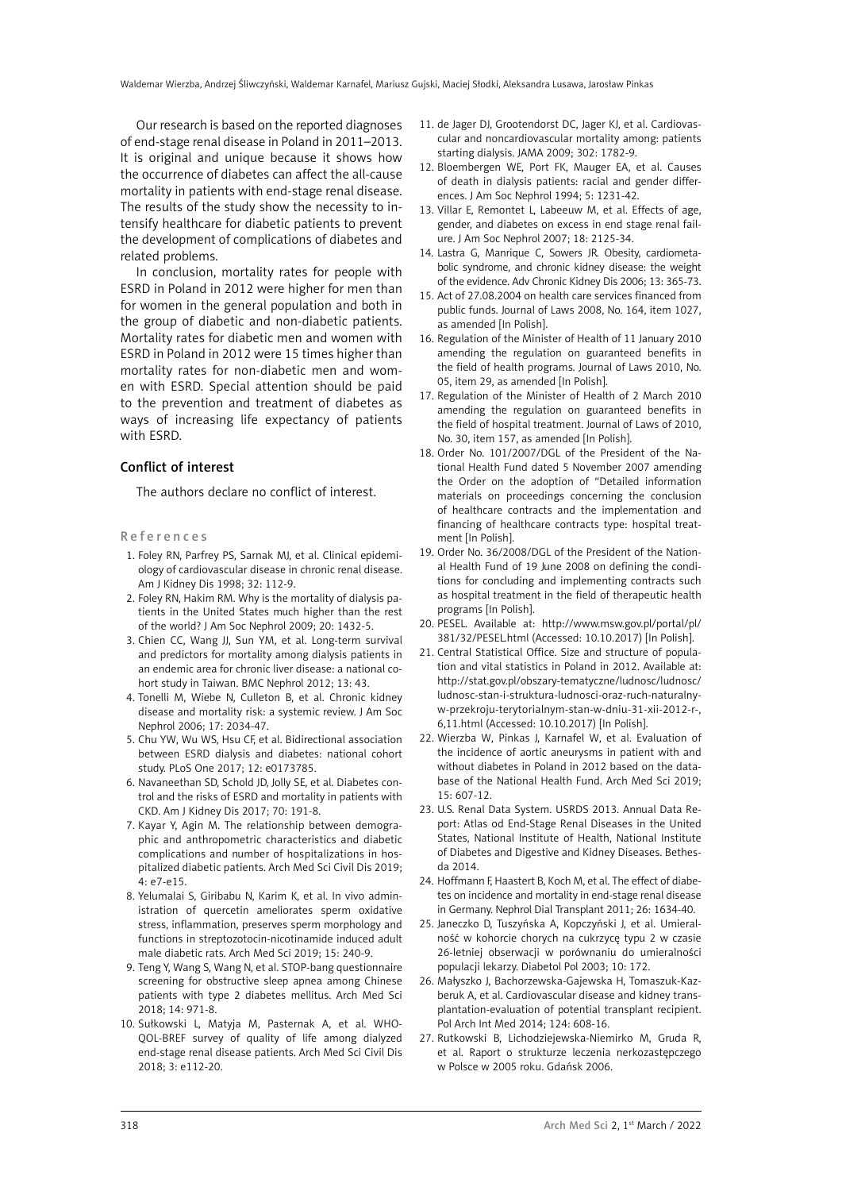Our research is based on the reported diagnoses of end-stage renal disease in Poland in 2011–2013. It is original and unique because it shows how the occurrence of diabetes can affect the all-cause mortality in patients with end-stage renal disease. The results of the study show the necessity to intensify healthcare for diabetic patients to prevent the development of complications of diabetes and related problems.

In conclusion, mortality rates for people with ESRD in Poland in 2012 were higher for men than for women in the general population and both in the group of diabetic and non-diabetic patients. Mortality rates for diabetic men and women with ESRD in Poland in 2012 were 15 times higher than mortality rates for non-diabetic men and women with ESRD. Special attention should be paid to the prevention and treatment of diabetes as ways of increasing life expectancy of patients with ESRD.

### Conflict of interest

The authors declare no conflict of interest.

#### References

- 1. Foley RN, Parfrey PS, Sarnak MJ, et al. Clinical epidemiology of cardiovascular disease in chronic renal disease. Am J Kidney Dis 1998; 32: 112-9.
- 2. Foley RN, Hakim RM. Why is the mortality of dialysis patients in the United States much higher than the rest of the world? J Am Soc Nephrol 2009; 20: 1432-5.
- 3. Chien CC, Wang JJ, Sun YM, et al. Long-term survival and predictors for mortality among dialysis patients in an endemic area for chronic liver disease: a national cohort study in Taiwan. BMC Nephrol 2012; 13: 43.
- 4. Tonelli M, Wiebe N, Culleton B, et al. Chronic kidney disease and mortality risk: a systemic review. J Am Soc Nephrol 2006; 17: 2034-47.
- 5. Chu YW, Wu WS, Hsu CF, et al. Bidirectional association between ESRD dialysis and diabetes: national cohort study. PLoS One 2017; 12: e0173785.
- 6. Navaneethan SD, Schold JD, Jolly SE, et al. Diabetes control and the risks of ESRD and mortality in patients with CKD. Am J Kidney Dis 2017; 70: 191-8.
- 7. Kayar Y, Agin M. The relationship between demographic and anthropometric characteristics and diabetic complications and number of hospitalizations in hospitalized diabetic patients. Arch Med Sci Civil Dis 2019; 4: e7-e15.
- 8. Yelumalai S, Giribabu N, Karim K, et al. In vivo administration of quercetin ameliorates sperm oxidative stress, inflammation, preserves sperm morphology and functions in streptozotocin-nicotinamide induced adult male diabetic rats. Arch Med Sci 2019; 15: 240-9.
- 9. Teng Y, Wang S, Wang N, et al. STOP-bang questionnaire screening for obstructive sleep apnea among Chinese patients with type 2 diabetes mellitus. Arch Med Sci 2018; 14: 971-8.
- 10. Sułkowski L, Matyja M, Pasternak A, et al. WHO-QOL-BREF survey of quality of life among dialyzed end-stage renal disease patients. Arch Med Sci Civil Dis 2018; 3: e112-20.
- 11. de Jager DJ, Grootendorst DC, Jager KJ, et al. Cardiovascular and noncardiovascular mortality among: patients starting dialysis. JAMA 2009; 302: 1782-9.
- 12. Bloembergen WE, Port FK, Mauger EA, et al. Causes of death in dialysis patients: racial and gender differences. J Am Soc Nephrol 1994; 5: 1231-42.
- 13. Villar E, Remontet L, Labeeuw M, et al. Effects of age, gender, and diabetes on excess in end stage renal failure. J Am Soc Nephrol 2007; 18: 2125-34.
- 14. Lastra G, Manrique C, Sowers JR. Obesity, cardiometabolic syndrome, and chronic kidney disease: the weight of the evidence. Adv Chronic Kidney Dis 2006; 13: 365-73.
- 15. Act of 27.08.2004 on health care services financed from public funds. Journal of Laws 2008, No. 164, item 1027, as amended [In Polish].
- 16. Regulation of the Minister of Health of 11 January 2010 amending the regulation on guaranteed benefits in the field of health programs. Journal of Laws 2010, No. 05, item 29, as amended [In Polish].
- 17. Regulation of the Minister of Health of 2 March 2010 amending the regulation on guaranteed benefits in the field of hospital treatment. Journal of Laws of 2010, No. 30, item 157, as amended [In Polish].
- 18. Order No. 101/2007/DGL of the President of the National Health Fund dated 5 November 2007 amending the Order on the adoption of "Detailed information materials on proceedings concerning the conclusion of healthcare contracts and the implementation and financing of healthcare contracts type: hospital treatment [In Polish].
- 19. Order No. 36/2008/DGL of the President of the National Health Fund of 19 June 2008 on defining the conditions for concluding and implementing contracts such as hospital treatment in the field of therapeutic health programs [In Polish].
- 20. PESEL. Available at: http://www.msw.gov.pl/portal/pl/ 381/32/PESEL.html (Accessed: 10.10.2017) [In Polish].
- 21. Central Statistical Office. Size and structure of population and vital statistics in Poland in 2012. Available at: http://stat.gov.pl/obszary-tematyczne/ludnosc/ludnosc/ ludnosc-stan-i-struktura-ludnosci-oraz-ruch-naturalnyw-przekroju-terytorialnym-stan-w-dniu-31-xii-2012-r-, 6,11.html (Accessed: 10.10.2017) [In Polish].
- 22. Wierzba W, Pinkas J, Karnafel W, et al. Evaluation of the incidence of aortic aneurysms in patient with and without diabetes in Poland in 2012 based on the database of the National Health Fund. Arch Med Sci 2019;  $15: 607-12.$
- 23. U.S. Renal Data System. USRDS 2013. Annual Data Report: Atlas od End-Stage Renal Diseases in the United States, National Institute of Health, National Institute of Diabetes and Digestive and Kidney Diseases. Bethesda 2014.
- 24. Hoffmann F, Haastert B, Koch M, et al. The effect of diabetes on incidence and mortality in end-stage renal disease in Germany. Nephrol Dial Transplant 2011; 26: 1634-40.
- 25. Janeczko D, Tuszyńska A, Kopczyński J, et al. Umieralność w kohorcie chorych na cukrzycę typu 2 w czasie 26-letniej obserwacji w porównaniu do umieralności populacji lekarzy. Diabetol Pol 2003; 10: 172.
- 26. Małyszko J, Bachorzewska-Gajewska H, Tomaszuk-Kazberuk A, et al. Cardiovascular disease and kidney transplantation-evaluation of potential transplant recipient. Pol Arch Int Med 2014; 124: 608-16.
- 27. Rutkowski B, Lichodziejewska-Niemirko M, Gruda R, et al. Raport o strukturze leczenia nerkozastępczego w Polsce w 2005 roku. Gdańsk 2006.